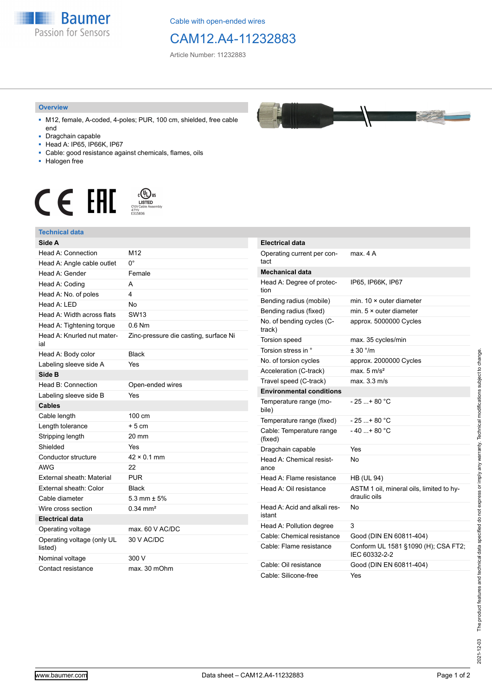

Cable with open-ended wires

## CAM12.A4-11232883

Article Number: 11232883

## **Overview**

- M12, female, A-coded, 4-poles; PUR, 100 cm, shielded, free cable end
- Dragchain capable
- Head A: IP65, IP66K, IP67
- Cable: good resistance against chemicals, flames, oils
- Halogen free



## **Technical data**

| Side A                                |                                       | Ele         |
|---------------------------------------|---------------------------------------|-------------|
| Head A: Connection                    | M12                                   | Op          |
| Head A: Angle cable outlet            | $0^{\circ}$                           | tac         |
| Head A: Gender                        | Female                                | Me          |
| Head A: Coding                        | A                                     | He          |
| Head A: No. of poles                  | 4                                     | tior        |
| Head A: LED                           | <b>No</b>                             | Beı         |
| Head A: Width across flats            | <b>SW13</b>                           | Beı         |
| Head A: Tightening torque             | $0.6$ Nm                              | No.<br>trao |
| Head A: Knurled nut mater-<br>ial     | Zinc-pressure die casting, surface Ni | Tor         |
| Head A: Body color                    | <b>Black</b>                          | Tor         |
| Labeling sleeve side A                | Yes                                   | No.         |
| Side B                                |                                       | Aco         |
| Head B: Connection                    | Open-ended wires                      | Tra         |
| Labeling sleeve side B                | Yes                                   | En          |
| <b>Cables</b>                         |                                       | Ter<br>bile |
| Cable length                          | 100 cm                                | Ter         |
| Length tolerance                      | $+5$ cm                               | Cal         |
| Stripping length                      | 20 mm                                 | (fix        |
| Shielded                              | Yes                                   | Dra         |
| Conductor structure                   | $42 \times 0.1$ mm                    | He          |
| <b>AWG</b>                            | 22                                    | ano         |
| External sheath: Material             | <b>PUR</b>                            | Hei         |
| External sheath: Color                | <b>Black</b>                          | Hei         |
| Cable diameter                        | 5.3 mm $\pm$ 5%                       |             |
| Wire cross section                    | $0.34$ mm <sup>2</sup>                | Hei         |
| <b>Electrical data</b>                |                                       | ista        |
| Operating voltage                     | max. 60 V AC/DC                       | He          |
| Operating voltage (only UL<br>listed) | 30 V AC/DC                            | Cal<br>Cal  |
| Nominal voltage                       | 300 V                                 |             |
| Contact resistance                    | max. 30 mOhm                          | Cal<br>Cal  |



| <b>Electrical data</b>                 |                                                          |
|----------------------------------------|----------------------------------------------------------|
| Operating current per con-<br>tact     | max. 4 A                                                 |
| <b>Mechanical data</b>                 |                                                          |
| Head A: Degree of protec-<br>tion      | IP65, IP66K, IP67                                        |
| Bending radius (mobile)                | min. $10 \times$ outer diameter                          |
| Bending radius (fixed)                 | min. $5 \times$ outer diameter                           |
| No. of bending cycles (C-<br>track)    | approx. 5000000 Cycles                                   |
| <b>Torsion speed</b>                   | max. 35 cycles/min                                       |
| Torsion stress in °                    | ± 30 °/m                                                 |
| No. of torsion cycles                  | approx. 2000000 Cycles                                   |
| Acceleration (C-track)                 | max. $5 \text{ m/s}^2$                                   |
| Travel speed (C-track)                 | max. 3.3 m/s                                             |
| <b>Environmental conditions</b>        |                                                          |
| Temperature range (mo-<br>bile)        | - 25 + 80 °C                                             |
| Temperature range (fixed)              | $-25+80 °C$                                              |
| Cable: Temperature range<br>(fixed)    | - 40 + 80 °C                                             |
| Dragchain capable                      | Yes                                                      |
| Head A: Chemical resist-<br>ance       | No                                                       |
| Head A: Flame resistance               | <b>HB (UL 94)</b>                                        |
| Head A: Oil resistance                 | ASTM 1 oil, mineral oils, limited to hy-<br>draulic oils |
| Head A: Acid and alkali res-<br>istant | No                                                       |
| Head A: Pollution degree               | 3                                                        |
| Cable: Chemical resistance             | Good (DIN EN 60811-404)                                  |
| Cable: Flame resistance                | Conform UL 1581 §1090 (H); CSA FT2;<br>IEC 60332-2-2     |
| Cable: Oil resistance                  | Good (DIN EN 60811-404)                                  |
| Cable: Silicone-free                   | Yes                                                      |